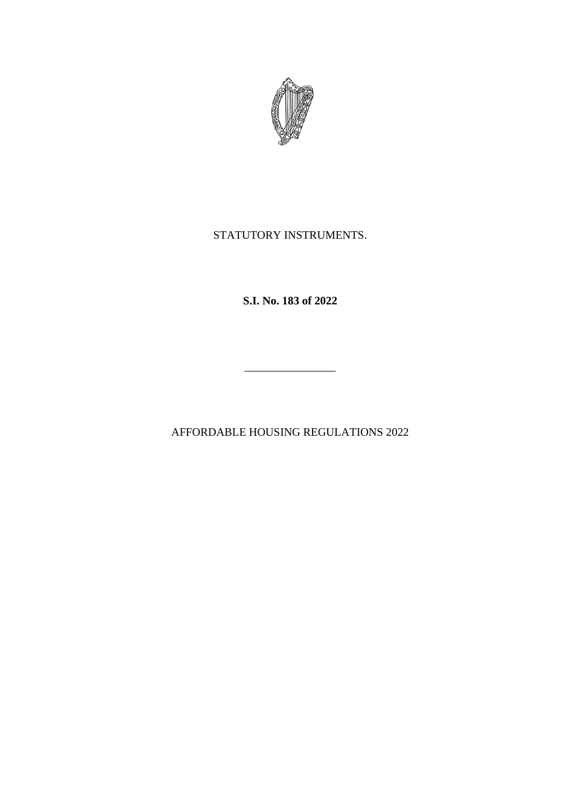

# STATUTORY INSTRUMENTS.

**S.I. No. 183 of 2022**

AFFORDABLE HOUSING REGULATIONS 2022

 $\frac{1}{\sqrt{2}}$  ,  $\frac{1}{\sqrt{2}}$  ,  $\frac{1}{\sqrt{2}}$  ,  $\frac{1}{\sqrt{2}}$  ,  $\frac{1}{\sqrt{2}}$  ,  $\frac{1}{\sqrt{2}}$  ,  $\frac{1}{\sqrt{2}}$  ,  $\frac{1}{\sqrt{2}}$  ,  $\frac{1}{\sqrt{2}}$  ,  $\frac{1}{\sqrt{2}}$  ,  $\frac{1}{\sqrt{2}}$  ,  $\frac{1}{\sqrt{2}}$  ,  $\frac{1}{\sqrt{2}}$  ,  $\frac{1}{\sqrt{2}}$  ,  $\frac{1}{\sqrt{2}}$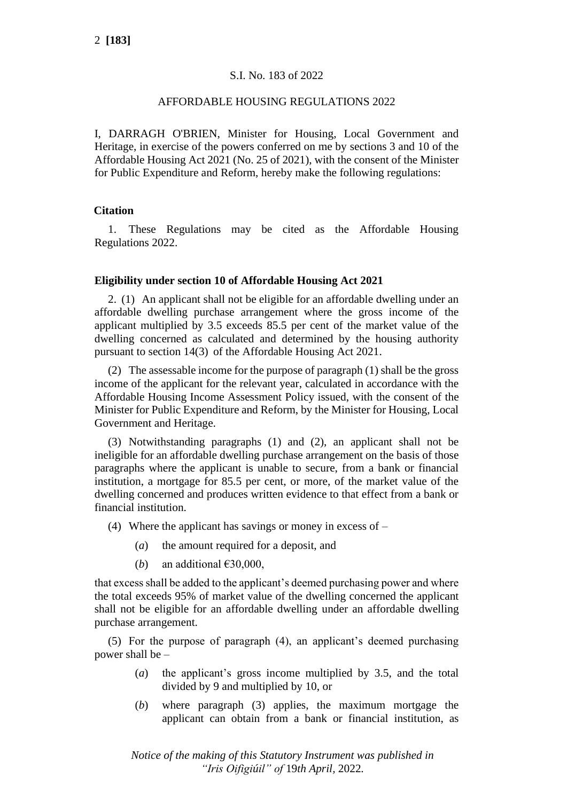## S.I. No. 183 of 2022

#### AFFORDABLE HOUSING REGULATIONS 2022

I, DARRAGH O'BRIEN, Minister for Housing, Local Government and Heritage, in exercise of the powers conferred on me by sections 3 and 10 of the Affordable Housing Act 2021 (No. 25 of 2021), with the consent of the Minister for Public Expenditure and Reform, hereby make the following regulations:

### **Citation**

1. These Regulations may be cited as the Affordable Housing Regulations 2022.

#### **Eligibility under section 10 of Affordable Housing Act 2021**

2. (1) An applicant shall not be eligible for an affordable dwelling under an affordable dwelling purchase arrangement where the gross income of the applicant multiplied by 3.5 exceeds 85.5 per cent of the market value of the dwelling concerned as calculated and determined by the housing authority pursuant to section 14(3) of the Affordable Housing Act 2021.

(2) The assessable income for the purpose of paragraph (1) shall be the gross income of the applicant for the relevant year, calculated in accordance with the Affordable Housing Income Assessment Policy issued, with the consent of the Minister for Public Expenditure and Reform, by the Minister for Housing, Local Government and Heritage.

(3) Notwithstanding paragraphs (1) and (2), an applicant shall not be ineligible for an affordable dwelling purchase arrangement on the basis of those paragraphs where the applicant is unable to secure, from a bank or financial institution, a mortgage for 85.5 per cent, or more, of the market value of the dwelling concerned and produces written evidence to that effect from a bank or financial institution.

- (4) Where the applicant has savings or money in excess of
	- (*a*) the amount required for a deposit, and
	- (*b*) an additional  $\epsilon$ 30,000,

that excess shall be added to the applicant's deemed purchasing power and where the total exceeds 95% of market value of the dwelling concerned the applicant shall not be eligible for an affordable dwelling under an affordable dwelling purchase arrangement.

(5) For the purpose of paragraph (4), an applicant's deemed purchasing power shall be –

- (*a*) the applicant's gross income multiplied by 3.5, and the total divided by 9 and multiplied by 10, or
- (*b*) where paragraph (3) applies, the maximum mortgage the applicant can obtain from a bank or financial institution, as

*Notice of the making of this Statutory Instrument was published in "Iris Oifigiúil" of* 19*th April,* 2022*.*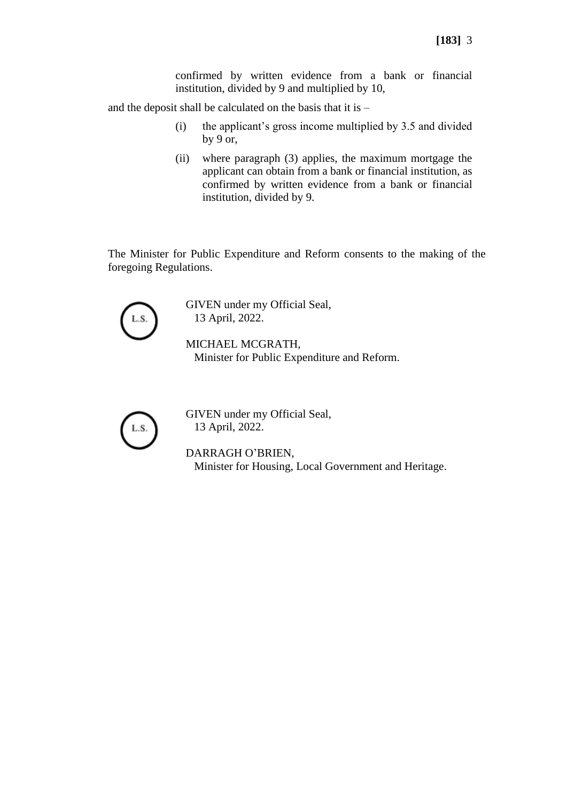confirmed by written evidence from a bank or financial institution, divided by 9 and multiplied by 10,

and the deposit shall be calculated on the basis that it is –

- (i) the applicant's gross income multiplied by 3.5 and divided by 9 or,
- (ii) where paragraph (3) applies, the maximum mortgage the applicant can obtain from a bank or financial institution, as confirmed by written evidence from a bank or financial institution, divided by 9.

The Minister for Public Expenditure and Reform consents to the making of the foregoing Regulations.



GIVEN under my Official Seal, 13 April, 2022.

MICHAEL MCGRATH, Minister for Public Expenditure and Reform.



GIVEN under my Official Seal, 13 April, 2022.

DARRAGH O'BRIEN, Minister for Housing, Local Government and Heritage.